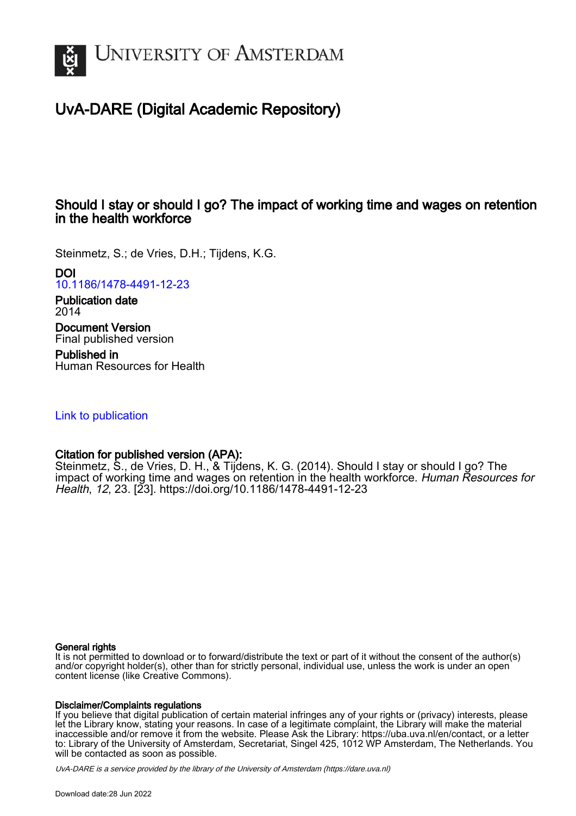

# UvA-DARE (Digital Academic Repository)

# Should I stay or should I go? The impact of working time and wages on retention in the health workforce

Steinmetz, S.; de Vries, D.H.; Tijdens, K.G.

DOI

[10.1186/1478-4491-12-23](https://doi.org/10.1186/1478-4491-12-23)

Publication date 2014

Document Version Final published version

Published in Human Resources for Health

## [Link to publication](https://dare.uva.nl/personal/pure/en/publications/should-i-stay-or-should-i-go-the-impact-of-working-time-and-wages-on-retention-in-the-health-workforce(ee7eb937-8adc-4b9e-94d4-72166ddb212b).html)

# Citation for published version (APA):

Steinmetz, S., de Vries, D. H., & Tijdens, K. G. (2014). Should I stay or should I go? The impact of working time and wages on retention in the health workforce. Human Resources for Health, 12, 23. [23]. <https://doi.org/10.1186/1478-4491-12-23>

#### General rights

It is not permitted to download or to forward/distribute the text or part of it without the consent of the author(s) and/or copyright holder(s), other than for strictly personal, individual use, unless the work is under an open content license (like Creative Commons).

### Disclaimer/Complaints regulations

If you believe that digital publication of certain material infringes any of your rights or (privacy) interests, please let the Library know, stating your reasons. In case of a legitimate complaint, the Library will make the material inaccessible and/or remove it from the website. Please Ask the Library: https://uba.uva.nl/en/contact, or a letter to: Library of the University of Amsterdam, Secretariat, Singel 425, 1012 WP Amsterdam, The Netherlands. You will be contacted as soon as possible.

UvA-DARE is a service provided by the library of the University of Amsterdam (http*s*://dare.uva.nl)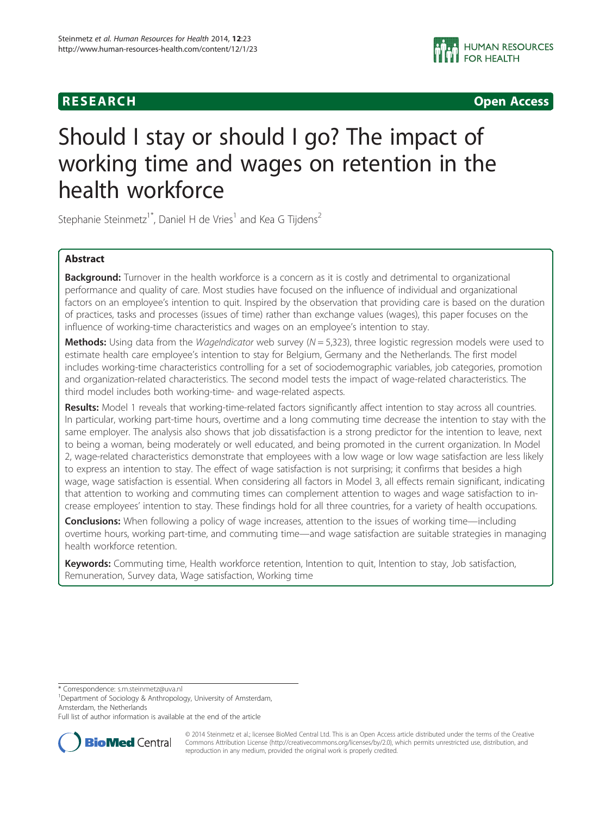**RESEARCH CHINESEARCH CHINESEARCH** 

# Should I stay or should I go? The impact of working time and wages on retention in the health workforce

Stephanie Steinmetz<sup>1\*</sup>, Daniel H de Vries<sup>1</sup> and Kea G Tijdens<sup>2</sup>

#### Abstract

Background: Turnover in the health workforce is a concern as it is costly and detrimental to organizational performance and quality of care. Most studies have focused on the influence of individual and organizational factors on an employee's intention to quit. Inspired by the observation that providing care is based on the duration of practices, tasks and processes (issues of time) rather than exchange values (wages), this paper focuses on the influence of working-time characteristics and wages on an employee's intention to stay.

**Methods:** Using data from the *WageIndicator* web survey ( $N = 5,323$ ), three logistic regression models were used to estimate health care employee's intention to stay for Belgium, Germany and the Netherlands. The first model includes working-time characteristics controlling for a set of sociodemographic variables, job categories, promotion and organization-related characteristics. The second model tests the impact of wage-related characteristics. The third model includes both working-time- and wage-related aspects.

Results: Model 1 reveals that working-time-related factors significantly affect intention to stay across all countries. In particular, working part-time hours, overtime and a long commuting time decrease the intention to stay with the same employer. The analysis also shows that job dissatisfaction is a strong predictor for the intention to leave, next to being a woman, being moderately or well educated, and being promoted in the current organization. In Model 2, wage-related characteristics demonstrate that employees with a low wage or low wage satisfaction are less likely to express an intention to stay. The effect of wage satisfaction is not surprising; it confirms that besides a high wage, wage satisfaction is essential. When considering all factors in Model 3, all effects remain significant, indicating that attention to working and commuting times can complement attention to wages and wage satisfaction to increase employees' intention to stay. These findings hold for all three countries, for a variety of health occupations.

**Conclusions:** When following a policy of wage increases, attention to the issues of working time—including overtime hours, working part-time, and commuting time—and wage satisfaction are suitable strategies in managing health workforce retention.

Keywords: Commuting time, Health workforce retention, Intention to quit, Intention to stay, Job satisfaction, Remuneration, Survey data, Wage satisfaction, Working time

\* Correspondence: [s.m.steinmetz@uva.nl](mailto:s.m.steinmetz@uva.nl) <sup>1</sup>

<sup>1</sup>Department of Sociology & Anthropology, University of Amsterdam, Amsterdam, the Netherlands

Full list of author information is available at the end of the article



© 2014 Steinmetz et al.; licensee BioMed Central Ltd. This is an Open Access article distributed under the terms of the Creative Commons Attribution License [\(http://creativecommons.org/licenses/by/2.0\)](http://creativecommons.org/licenses/by/2.0), which permits unrestricted use, distribution, and reproduction in any medium, provided the original work is properly credited.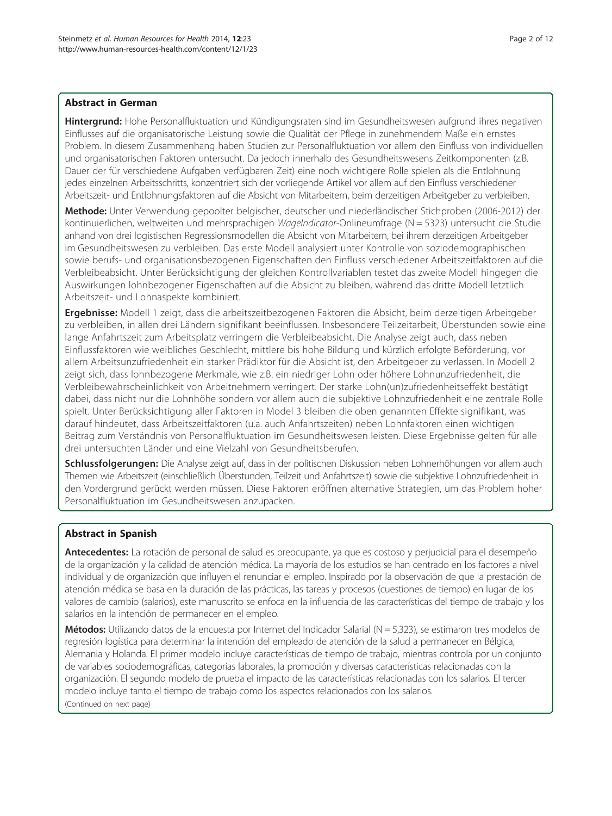#### Abstract in German

Hintergrund: Hohe Personalfluktuation und Kündigungsraten sind im Gesundheitswesen aufgrund ihres negativen Einflusses auf die organisatorische Leistung sowie die Qualität der Pflege in zunehmendem Maße ein ernstes Problem. In diesem Zusammenhang haben Studien zur Personalfluktuation vor allem den Einfluss von individuellen und organisatorischen Faktoren untersucht. Da jedoch innerhalb des Gesundheitswesens Zeitkomponenten (z.B. Dauer der für verschiedene Aufgaben verfügbaren Zeit) eine noch wichtigere Rolle spielen als die Entlohnung jedes einzelnen Arbeitsschritts, konzentriert sich der vorliegende Artikel vor allem auf den Einfluss verschiedener Arbeitszeit- und Entlohnungsfaktoren auf die Absicht von Mitarbeitern, beim derzeitigen Arbeitgeber zu verbleiben.

Methode: Unter Verwendung gepoolter belgischer, deutscher und niederländischer Stichproben (2006-2012) der kontinuierlichen, weltweiten und mehrsprachigen WageIndicator-Onlineumfrage (N = 5323) untersucht die Studie anhand von drei logistischen Regressionsmodellen die Absicht von Mitarbeitern, bei ihrem derzeitigen Arbeitgeber im Gesundheitswesen zu verbleiben. Das erste Modell analysiert unter Kontrolle von soziodemographischen sowie berufs- und organisationsbezogenen Eigenschaften den Einfluss verschiedener Arbeitszeitfaktoren auf die Verbleibeabsicht. Unter Berücksichtigung der gleichen Kontrollvariablen testet das zweite Modell hingegen die Auswirkungen lohnbezogener Eigenschaften auf die Absicht zu bleiben, während das dritte Modell letztlich Arbeitszeit- und Lohnaspekte kombiniert.

Ergebnisse: Modell 1 zeigt, dass die arbeitszeitbezogenen Faktoren die Absicht, beim derzeitigen Arbeitgeber zu verbleiben, in allen drei Ländern signifikant beeinflussen. Insbesondere Teilzeitarbeit, Überstunden sowie eine lange Anfahrtszeit zum Arbeitsplatz verringern die Verbleibeabsicht. Die Analyse zeigt auch, dass neben Einflussfaktoren wie weibliches Geschlecht, mittlere bis hohe Bildung und kürzlich erfolgte Beförderung, vor allem Arbeitsunzufriedenheit ein starker Prädiktor für die Absicht ist, den Arbeitgeber zu verlassen. In Modell 2 zeigt sich, dass lohnbezogene Merkmale, wie z.B. ein niedriger Lohn oder höhere Lohnunzufriedenheit, die Verbleibewahrscheinlichkeit von Arbeitnehmern verringert. Der starke Lohn(un)zufriedenheitseffekt bestätigt dabei, dass nicht nur die Lohnhöhe sondern vor allem auch die subjektive Lohnzufriedenheit eine zentrale Rolle spielt. Unter Berücksichtigung aller Faktoren in Model 3 bleiben die oben genannten Effekte signifikant, was darauf hindeutet, dass Arbeitszeitfaktoren (u.a. auch Anfahrtszeiten) neben Lohnfaktoren einen wichtigen Beitrag zum Verständnis von Personalfluktuation im Gesundheitswesen leisten. Diese Ergebnisse gelten für alle drei untersuchten Länder und eine Vielzahl von Gesundheitsberufen.

Schlussfolgerungen: Die Analyse zeigt auf, dass in der politischen Diskussion neben Lohnerhöhungen vor allem auch Themen wie Arbeitszeit (einschließlich Überstunden, Teilzeit und Anfahrtszeit) sowie die subjektive Lohnzufriedenheit in den Vordergrund gerückt werden müssen. Diese Faktoren eröffnen alternative Strategien, um das Problem hoher Personalfluktuation im Gesundheitswesen anzupacken.

#### Abstract in Spanish

Antecedentes: La rotación de personal de salud es preocupante, ya que es costoso y perjudicial para el desempeño de la organización y la calidad de atención médica. La mayoría de los estudios se han centrado en los factores a nivel individual y de organización que influyen el renunciar el empleo. Inspirado por la observación de que la prestación de atención médica se basa en la duración de las prácticas, las tareas y procesos (cuestiones de tiempo) en lugar de los valores de cambio (salarios), este manuscrito se enfoca en la influencia de las características del tiempo de trabajo y los salarios en la intención de permanecer en el empleo.

Métodos: Utilizando datos de la encuesta por Internet del Indicador Salarial ( $N = 5,323$ ), se estimaron tres modelos de regresión logística para determinar la intención del empleado de atención de la salud a permanecer en Bélgica, Alemania y Holanda. El primer modelo incluye características de tiempo de trabajo, mientras controla por un conjunto de variables sociodemográficas, categorías laborales, la promoción y diversas características relacionadas con la organización. El segundo modelo de prueba el impacto de las características relacionadas con los salarios. El tercer modelo incluye tanto el tiempo de trabajo como los aspectos relacionados con los salarios. (Continued on next page)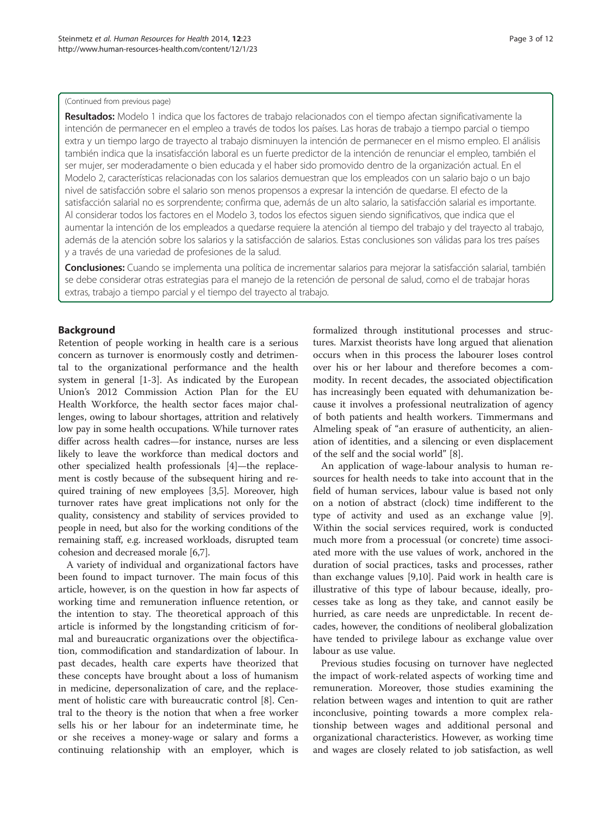#### (Continued from previous page)

Resultados: Modelo 1 indica que los factores de trabajo relacionados con el tiempo afectan significativamente la intención de permanecer en el empleo a través de todos los países. Las horas de trabajo a tiempo parcial o tiempo extra y un tiempo largo de trayecto al trabajo disminuyen la intención de permanecer en el mismo empleo. El análisis también indica que la insatisfacción laboral es un fuerte predictor de la intención de renunciar el empleo, también el ser mujer, ser moderadamente o bien educada y el haber sido promovido dentro de la organización actual. En el Modelo 2, características relacionadas con los salarios demuestran que los empleados con un salario bajo o un bajo nivel de satisfacción sobre el salario son menos propensos a expresar la intención de quedarse. El efecto de la satisfacción salarial no es sorprendente; confirma que, además de un alto salario, la satisfacción salarial es importante. Al considerar todos los factores en el Modelo 3, todos los efectos siguen siendo significativos, que indica que el aumentar la intención de los empleados a quedarse requiere la atención al tiempo del trabajo y del trayecto al trabajo, además de la atención sobre los salarios y la satisfacción de salarios. Estas conclusiones son válidas para los tres países y a través de una variedad de profesiones de la salud.

Conclusiones: Cuando se implementa una política de incrementar salarios para mejorar la satisfacción salarial, también se debe considerar otras estrategias para el manejo de la retención de personal de salud, como el de trabajar horas extras, trabajo a tiempo parcial y el tiempo del trayecto al trabajo.

#### Background

Retention of people working in health care is a serious concern as turnover is enormously costly and detrimental to the organizational performance and the health system in general [\[1-3](#page-11-0)]. As indicated by the European Union's 2012 Commission Action Plan for the EU Health Workforce, the health sector faces major challenges, owing to labour shortages, attrition and relatively low pay in some health occupations. While turnover rates differ across health cadres—for instance, nurses are less likely to leave the workforce than medical doctors and other specialized health professionals [\[4](#page-11-0)]—the replacement is costly because of the subsequent hiring and required training of new employees [\[3,5\]](#page-11-0). Moreover, high turnover rates have great implications not only for the quality, consistency and stability of services provided to people in need, but also for the working conditions of the remaining staff, e.g. increased workloads, disrupted team cohesion and decreased morale [[6,7](#page-11-0)].

A variety of individual and organizational factors have been found to impact turnover. The main focus of this article, however, is on the question in how far aspects of working time and remuneration influence retention, or the intention to stay. The theoretical approach of this article is informed by the longstanding criticism of formal and bureaucratic organizations over the objectification, commodification and standardization of labour. In past decades, health care experts have theorized that these concepts have brought about a loss of humanism in medicine, depersonalization of care, and the replacement of holistic care with bureaucratic control [[8\]](#page-11-0). Central to the theory is the notion that when a free worker sells his or her labour for an indeterminate time, he or she receives a money-wage or salary and forms a continuing relationship with an employer, which is formalized through institutional processes and structures. Marxist theorists have long argued that alienation occurs when in this process the labourer loses control over his or her labour and therefore becomes a commodity. In recent decades, the associated objectification has increasingly been equated with dehumanization because it involves a professional neutralization of agency of both patients and health workers. Timmermans and Almeling speak of "an erasure of authenticity, an alienation of identities, and a silencing or even displacement of the self and the social world" [[8\]](#page-11-0).

An application of wage-labour analysis to human resources for health needs to take into account that in the field of human services, labour value is based not only on a notion of abstract (clock) time indifferent to the type of activity and used as an exchange value [\[9](#page-11-0)]. Within the social services required, work is conducted much more from a processual (or concrete) time associated more with the use values of work, anchored in the duration of social practices, tasks and processes, rather than exchange values [[9,10\]](#page-11-0). Paid work in health care is illustrative of this type of labour because, ideally, processes take as long as they take, and cannot easily be hurried, as care needs are unpredictable. In recent decades, however, the conditions of neoliberal globalization have tended to privilege labour as exchange value over labour as use value.

Previous studies focusing on turnover have neglected the impact of work-related aspects of working time and remuneration. Moreover, those studies examining the relation between wages and intention to quit are rather inconclusive, pointing towards a more complex relationship between wages and additional personal and organizational characteristics. However, as working time and wages are closely related to job satisfaction, as well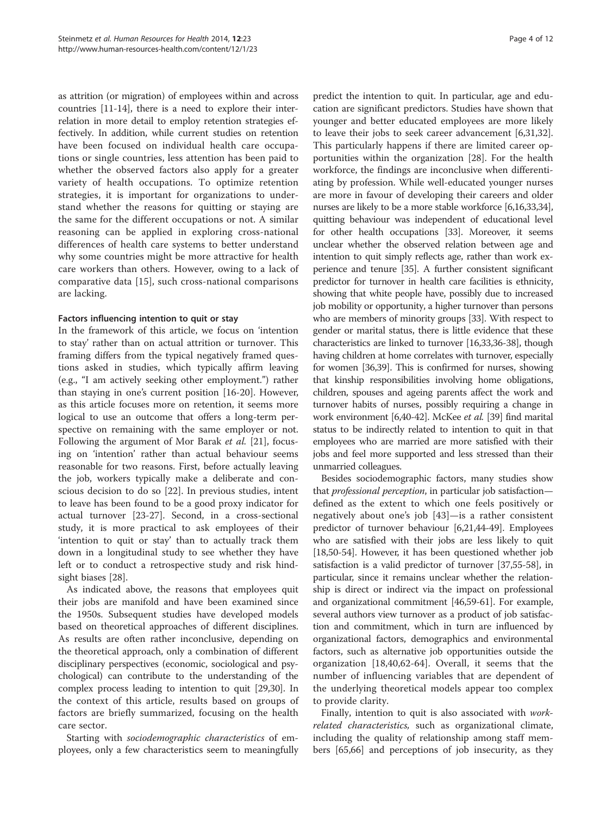as attrition (or migration) of employees within and across countries [\[11-14\]](#page-11-0), there is a need to explore their interrelation in more detail to employ retention strategies effectively. In addition, while current studies on retention have been focused on individual health care occupations or single countries, less attention has been paid to whether the observed factors also apply for a greater variety of health occupations. To optimize retention strategies, it is important for organizations to understand whether the reasons for quitting or staying are the same for the different occupations or not. A similar reasoning can be applied in exploring cross-national differences of health care systems to better understand why some countries might be more attractive for health care workers than others. However, owing to a lack of comparative data [[15\]](#page-11-0), such cross-national comparisons are lacking.

#### Factors influencing intention to quit or stay

In the framework of this article, we focus on 'intention to stay' rather than on actual attrition or turnover. This framing differs from the typical negatively framed questions asked in studies, which typically affirm leaving (e.g., "I am actively seeking other employment.") rather than staying in one's current position [\[16-20](#page-11-0)]. However, as this article focuses more on retention, it seems more logical to use an outcome that offers a long-term perspective on remaining with the same employer or not. Following the argument of Mor Barak et al. [[21\]](#page-11-0), focusing on 'intention' rather than actual behaviour seems reasonable for two reasons. First, before actually leaving the job, workers typically make a deliberate and conscious decision to do so [\[22](#page-11-0)]. In previous studies, intent to leave has been found to be a good proxy indicator for actual turnover [\[23-27](#page-11-0)]. Second, in a cross-sectional study, it is more practical to ask employees of their 'intention to quit or stay' than to actually track them down in a longitudinal study to see whether they have left or to conduct a retrospective study and risk hindsight biases [\[28](#page-11-0)].

As indicated above, the reasons that employees quit their jobs are manifold and have been examined since the 1950s. Subsequent studies have developed models based on theoretical approaches of different disciplines. As results are often rather inconclusive, depending on the theoretical approach, only a combination of different disciplinary perspectives (economic, sociological and psychological) can contribute to the understanding of the complex process leading to intention to quit [\[29,30](#page-11-0)]. In the context of this article, results based on groups of factors are briefly summarized, focusing on the health care sector.

Starting with sociodemographic characteristics of employees, only a few characteristics seem to meaningfully

predict the intention to quit. In particular, age and education are significant predictors. Studies have shown that younger and better educated employees are more likely to leave their jobs to seek career advancement [\[6,31,32](#page-11-0)]. This particularly happens if there are limited career opportunities within the organization [[28\]](#page-11-0). For the health workforce, the findings are inconclusive when differentiating by profession. While well-educated younger nurses are more in favour of developing their careers and older nurses are likely to be a more stable workforce [\[6,16,33,34](#page-11-0)], quitting behaviour was independent of educational level for other health occupations [\[33\]](#page-11-0). Moreover, it seems unclear whether the observed relation between age and intention to quit simply reflects age, rather than work experience and tenure [\[35\]](#page-11-0). A further consistent significant predictor for turnover in health care facilities is ethnicity, showing that white people have, possibly due to increased job mobility or opportunity, a higher turnover than persons who are members of minority groups [\[33](#page-11-0)]. With respect to gender or marital status, there is little evidence that these characteristics are linked to turnover [[16,33,36](#page-11-0)-[38](#page-11-0)], though having children at home correlates with turnover, especially for women [\[36,39](#page-11-0)]. This is confirmed for nurses, showing that kinship responsibilities involving home obligations, children, spouses and ageing parents affect the work and turnover habits of nurses, possibly requiring a change in work environment [[6,](#page-11-0)[40](#page-12-0)-[42](#page-12-0)]. McKee et al. [\[39\]](#page-11-0) find marital status to be indirectly related to intention to quit in that employees who are married are more satisfied with their jobs and feel more supported and less stressed than their unmarried colleagues.

Besides sociodemographic factors, many studies show that *professional perception*, in particular job satisfaction defined as the extent to which one feels positively or negatively about one's job [\[43](#page-12-0)]—is a rather consistent predictor of turnover behaviour [[6](#page-11-0),[21](#page-11-0)[,44-49\]](#page-12-0). Employees who are satisfied with their jobs are less likely to quit [[18](#page-11-0),[50](#page-12-0)-[54](#page-12-0)]. However, it has been questioned whether job satisfaction is a valid predictor of turnover [\[37,](#page-11-0)[55-58\]](#page-12-0), in particular, since it remains unclear whether the relationship is direct or indirect via the impact on professional and organizational commitment [\[46,59-61\]](#page-12-0). For example, several authors view turnover as a product of job satisfaction and commitment, which in turn are influenced by organizational factors, demographics and environmental factors, such as alternative job opportunities outside the organization [\[18](#page-11-0),[40,62-64](#page-12-0)]. Overall, it seems that the number of influencing variables that are dependent of the underlying theoretical models appear too complex to provide clarity.

Finally, intention to quit is also associated with workrelated characteristics, such as organizational climate, including the quality of relationship among staff members [[65](#page-12-0),[66](#page-12-0)] and perceptions of job insecurity, as they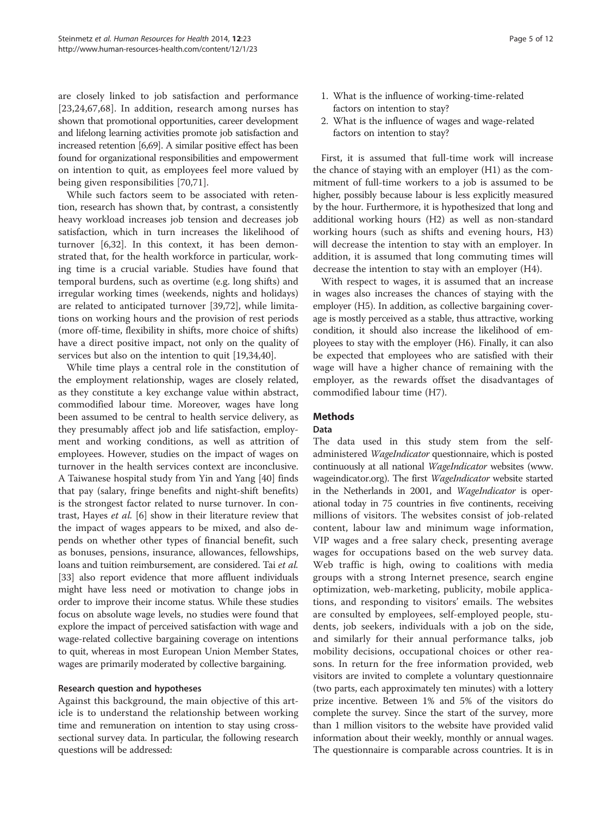are closely linked to job satisfaction and performance [[23](#page-11-0),[24,](#page-11-0)[67](#page-12-0),[68\]](#page-12-0). In addition, research among nurses has shown that promotional opportunities, career development and lifelong learning activities promote job satisfaction and increased retention [\[6](#page-11-0)[,69\]](#page-12-0). A similar positive effect has been found for organizational responsibilities and empowerment on intention to quit, as employees feel more valued by being given responsibilities [[70](#page-12-0),[71\]](#page-12-0).

While such factors seem to be associated with retention, research has shown that, by contrast, a consistently heavy workload increases job tension and decreases job satisfaction, which in turn increases the likelihood of turnover [[6,32\]](#page-11-0). In this context, it has been demonstrated that, for the health workforce in particular, working time is a crucial variable. Studies have found that temporal burdens, such as overtime (e.g. long shifts) and irregular working times (weekends, nights and holidays) are related to anticipated turnover [\[39](#page-11-0)[,72](#page-12-0)], while limitations on working hours and the provision of rest periods (more off-time, flexibility in shifts, more choice of shifts) have a direct positive impact, not only on the quality of services but also on the intention to quit [[19,34,](#page-11-0)[40\]](#page-12-0).

While time plays a central role in the constitution of the employment relationship, wages are closely related, as they constitute a key exchange value within abstract, commodified labour time. Moreover, wages have long been assumed to be central to health service delivery, as they presumably affect job and life satisfaction, employment and working conditions, as well as attrition of employees. However, studies on the impact of wages on turnover in the health services context are inconclusive. A Taiwanese hospital study from Yin and Yang [[40\]](#page-12-0) finds that pay (salary, fringe benefits and night-shift benefits) is the strongest factor related to nurse turnover. In contrast, Hayes et al. [\[6](#page-11-0)] show in their literature review that the impact of wages appears to be mixed, and also depends on whether other types of financial benefit, such as bonuses, pensions, insurance, allowances, fellowships, loans and tuition reimbursement, are considered. Tai et al. [[33](#page-11-0)] also report evidence that more affluent individuals might have less need or motivation to change jobs in order to improve their income status. While these studies focus on absolute wage levels, no studies were found that explore the impact of perceived satisfaction with wage and wage-related collective bargaining coverage on intentions to quit, whereas in most European Union Member States, wages are primarily moderated by collective bargaining.

#### Research question and hypotheses

Against this background, the main objective of this article is to understand the relationship between working time and remuneration on intention to stay using crosssectional survey data. In particular, the following research questions will be addressed:

- 1. What is the influence of working-time-related factors on intention to stay?
- 2. What is the influence of wages and wage-related factors on intention to stay?

First, it is assumed that full-time work will increase the chance of staying with an employer (H1) as the commitment of full-time workers to a job is assumed to be higher, possibly because labour is less explicitly measured by the hour. Furthermore, it is hypothesized that long and additional working hours (H2) as well as non-standard working hours (such as shifts and evening hours, H3) will decrease the intention to stay with an employer. In addition, it is assumed that long commuting times will decrease the intention to stay with an employer (H4).

With respect to wages, it is assumed that an increase in wages also increases the chances of staying with the employer (H5). In addition, as collective bargaining coverage is mostly perceived as a stable, thus attractive, working condition, it should also increase the likelihood of employees to stay with the employer (H6). Finally, it can also be expected that employees who are satisfied with their wage will have a higher chance of remaining with the employer, as the rewards offset the disadvantages of commodified labour time (H7).

#### **Methods**

#### Data

The data used in this study stem from the selfadministered WageIndicator questionnaire, which is posted continuously at all national WageIndicator websites [\(www.](http://www.wageindicator.org) [wageindicator.org\)](http://www.wageindicator.org). The first WageIndicator website started in the Netherlands in 2001, and WageIndicator is operational today in 75 countries in five continents, receiving millions of visitors. The websites consist of job-related content, labour law and minimum wage information, VIP wages and a free salary check, presenting average wages for occupations based on the web survey data. Web traffic is high, owing to coalitions with media groups with a strong Internet presence, search engine optimization, web-marketing, publicity, mobile applications, and responding to visitors' emails. The websites are consulted by employees, self-employed people, students, job seekers, individuals with a job on the side, and similarly for their annual performance talks, job mobility decisions, occupational choices or other reasons. In return for the free information provided, web visitors are invited to complete a voluntary questionnaire (two parts, each approximately ten minutes) with a lottery prize incentive. Between 1% and 5% of the visitors do complete the survey. Since the start of the survey, more than 1 million visitors to the website have provided valid information about their weekly, monthly or annual wages. The questionnaire is comparable across countries. It is in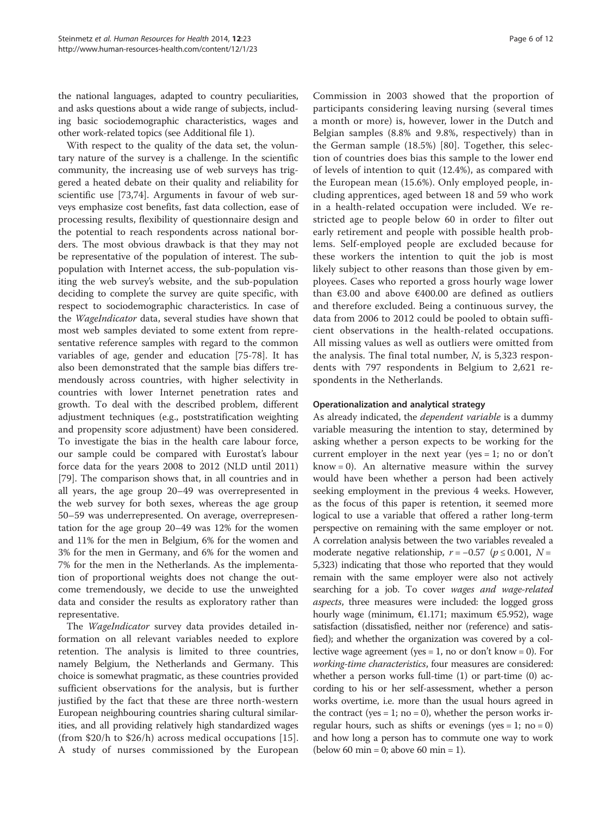the national languages, adapted to country peculiarities, and asks questions about a wide range of subjects, including basic sociodemographic characteristics, wages and other work-related topics (see Additional file [1\)](#page-10-0).

With respect to the quality of the data set, the voluntary nature of the survey is a challenge. In the scientific community, the increasing use of web surveys has triggered a heated debate on their quality and reliability for scientific use [[73,74\]](#page-12-0). Arguments in favour of web surveys emphasize cost benefits, fast data collection, ease of processing results, flexibility of questionnaire design and the potential to reach respondents across national borders. The most obvious drawback is that they may not be representative of the population of interest. The subpopulation with Internet access, the sub-population visiting the web survey's website, and the sub-population deciding to complete the survey are quite specific, with respect to sociodemographic characteristics. In case of the WageIndicator data, several studies have shown that most web samples deviated to some extent from representative reference samples with regard to the common variables of age, gender and education [[75-78](#page-12-0)]. It has also been demonstrated that the sample bias differs tremendously across countries, with higher selectivity in countries with lower Internet penetration rates and growth. To deal with the described problem, different adjustment techniques (e.g., poststratification weighting and propensity score adjustment) have been considered. To investigate the bias in the health care labour force, our sample could be compared with Eurostat's labour force data for the years 2008 to 2012 (NLD until 2011) [[79\]](#page-12-0). The comparison shows that, in all countries and in all years, the age group 20–49 was overrepresented in the web survey for both sexes, whereas the age group 50–59 was underrepresented. On average, overrepresentation for the age group 20–49 was 12% for the women and 11% for the men in Belgium, 6% for the women and 3% for the men in Germany, and 6% for the women and 7% for the men in the Netherlands. As the implementation of proportional weights does not change the outcome tremendously, we decide to use the unweighted data and consider the results as exploratory rather than representative.

The *WageIndicator* survey data provides detailed information on all relevant variables needed to explore retention. The analysis is limited to three countries, namely Belgium, the Netherlands and Germany. This choice is somewhat pragmatic, as these countries provided sufficient observations for the analysis, but is further justified by the fact that these are three north-western European neighbouring countries sharing cultural similarities, and all providing relatively high standardized wages (from \$20/h to \$26/h) across medical occupations [[15](#page-11-0)]. A study of nurses commissioned by the European

Commission in 2003 showed that the proportion of participants considering leaving nursing (several times a month or more) is, however, lower in the Dutch and Belgian samples (8.8% and 9.8%, respectively) than in the German sample (18.5%) [[80\]](#page-12-0). Together, this selection of countries does bias this sample to the lower end of levels of intention to quit (12.4%), as compared with the European mean (15.6%). Only employed people, including apprentices, aged between 18 and 59 who work in a health-related occupation were included. We restricted age to people below 60 in order to filter out early retirement and people with possible health problems. Self-employed people are excluded because for these workers the intention to quit the job is most likely subject to other reasons than those given by employees. Cases who reported a gross hourly wage lower than  $€3.00$  and above  $€400.00$  are defined as outliers and therefore excluded. Being a continuous survey, the data from 2006 to 2012 could be pooled to obtain sufficient observations in the health-related occupations. All missing values as well as outliers were omitted from the analysis. The final total number,  $N$ , is 5,323 respondents with 797 respondents in Belgium to 2,621 respondents in the Netherlands.

#### Operationalization and analytical strategy

As already indicated, the *dependent variable* is a dummy variable measuring the intention to stay, determined by asking whether a person expects to be working for the current employer in the next year (yes  $= 1$ ; no or don't  $know = 0$ . An alternative measure within the survey would have been whether a person had been actively seeking employment in the previous 4 weeks. However, as the focus of this paper is retention, it seemed more logical to use a variable that offered a rather long-term perspective on remaining with the same employer or not. A correlation analysis between the two variables revealed a moderate negative relationship,  $r = -0.57$  ( $p \le 0.001$ ,  $N =$ 5,323) indicating that those who reported that they would remain with the same employer were also not actively searching for a job. To cover wages and wage-related aspects, three measures were included: the logged gross hourly wage (minimum,  $\epsilon$ 1.171; maximum  $\epsilon$ 5.952), wage satisfaction (dissatisfied, neither nor (reference) and satisfied); and whether the organization was covered by a collective wage agreement (yes  $= 1$ , no or don't know  $= 0$ ). For working-time characteristics, four measures are considered: whether a person works full-time (1) or part-time (0) according to his or her self-assessment, whether a person works overtime, i.e. more than the usual hours agreed in the contract (yes  $= 1$ ; no  $= 0$ ), whether the person works irregular hours, such as shifts or evenings ( $yes = 1$ ; no = 0) and how long a person has to commute one way to work (below 60 min = 0; above 60 min = 1).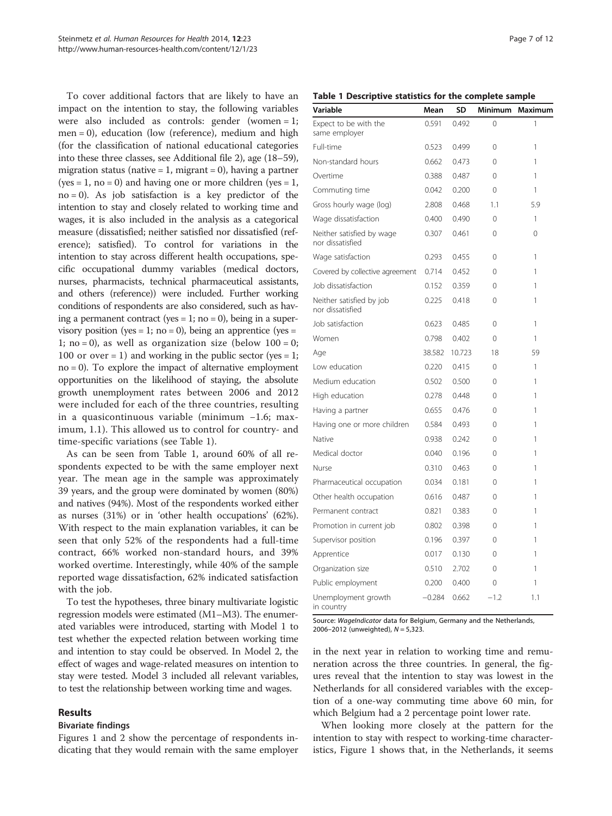To cover additional factors that are likely to have an impact on the intention to stay, the following variables were also included as controls: gender (women = 1; men = 0), education (low (reference), medium and high (for the classification of national educational categories into these three classes, see Additional file [2](#page-10-0)), age (18–59), migration status (native  $= 1$ , migrant  $= 0$ ), having a partner  $(yes = 1, no = 0)$  and having one or more children  $(yes = 1,$  $no = 0$ ). As job satisfaction is a key predictor of the intention to stay and closely related to working time and wages, it is also included in the analysis as a categorical measure (dissatisfied; neither satisfied nor dissatisfied (reference); satisfied). To control for variations in the intention to stay across different health occupations, specific occupational dummy variables (medical doctors, nurses, pharmacists, technical pharmaceutical assistants, and others (reference)) were included. Further working conditions of respondents are also considered, such as having a permanent contract (yes = 1; no = 0), being in a supervisory position (yes = 1; no = 0), being an apprentice (yes = 1; no = 0), as well as organization size (below  $100 = 0$ ; 100 or over = 1) and working in the public sector (yes = 1;  $no = 0$ ). To explore the impact of alternative employment opportunities on the likelihood of staying, the absolute growth unemployment rates between 2006 and 2012 were included for each of the three countries, resulting in a quasicontinuous variable (minimum −1.6; maximum, 1.1). This allowed us to control for country- and time-specific variations (see Table 1).

As can be seen from Table 1, around 60% of all respondents expected to be with the same employer next year. The mean age in the sample was approximately 39 years, and the group were dominated by women (80%) and natives (94%). Most of the respondents worked either as nurses (31%) or in 'other health occupations' (62%). With respect to the main explanation variables, it can be seen that only 52% of the respondents had a full-time contract, 66% worked non-standard hours, and 39% worked overtime. Interestingly, while 40% of the sample reported wage dissatisfaction, 62% indicated satisfaction with the job.

To test the hypotheses, three binary multivariate logistic regression models were estimated (M1–M3). The enumerated variables were introduced, starting with Model 1 to test whether the expected relation between working time and intention to stay could be observed. In Model 2, the effect of wages and wage-related measures on intention to stay were tested. Model 3 included all relevant variables, to test the relationship between working time and wages.

#### Results

#### Bivariate findings

Figures [1](#page-8-0) and [2](#page-8-0) show the percentage of respondents indicating that they would remain with the same employer

|  |  | Table 1 Descriptive statistics for the complete sample |  |  |  |
|--|--|--------------------------------------------------------|--|--|--|
|--|--|--------------------------------------------------------|--|--|--|

| Variable                                      | Mean     | SD     | Minimum     | Maximum |
|-----------------------------------------------|----------|--------|-------------|---------|
| Expect to be with the<br>same employer        | 0.591    | 0.492  | 0           | 1       |
| Full-time                                     | 0.523    | 0.499  | 0           | 1       |
| Non-standard hours                            | 0.662    | 0.473  | $\mathbf 0$ | 1       |
| Overtime                                      | 0.388    | 0.487  | 0           | 1       |
| Commuting time                                | 0.042    | 0.200  | $\mathbf 0$ | 1       |
| Gross hourly wage (log)                       | 2.808    | 0.468  | 1.1         | 5.9     |
| Wage dissatisfaction                          | 0.400    | 0.490  | 0           | 1       |
| Neither satisfied by wage<br>nor dissatisfied | 0.307    | 0.461  | $\Omega$    | 0       |
| Wage satisfaction                             | 0.293    | 0.455  | 0           | 1       |
| Covered by collective agreement               | 0.714    | 0.452  | $\Omega$    | 1       |
| Job dissatisfaction                           | 0.152    | 0.359  | $\Omega$    | 1       |
| Neither satisfied by job<br>nor dissatisfied  | 0.225    | 0.418  | 0           | 1       |
| Job satisfaction                              | 0.623    | 0.485  | 0           | 1       |
| Women                                         | 0.798    | 0.402  | 0           | 1       |
| Age                                           | 38.582   | 10.723 | 18          | 59      |
| Low education                                 | 0.220    | 0.415  | $\Omega$    | 1       |
| Medium education                              | 0.502    | 0.500  | 0           | 1       |
| High education                                | 0.278    | 0.448  | $\Omega$    | 1       |
| Having a partner                              | 0.655    | 0.476  | 0           | 1       |
| Having one or more children                   | 0.584    | 0.493  | $\Omega$    | 1       |
| Native                                        | 0.938    | 0.242  | $\Omega$    | 1       |
| Medical doctor                                | 0.040    | 0.196  | 0           | 1       |
| Nurse                                         | 0.310    | 0.463  | 0           | 1       |
| Pharmaceutical occupation                     | 0.034    | 0.181  | 0           | 1       |
| Other health occupation                       | 0.616    | 0.487  | $\Omega$    | 1       |
| Permanent contract                            | 0.821    | 0.383  | 0           | 1       |
| Promotion in current job                      | 0.802    | 0.398  | $\Omega$    | 1       |
| Supervisor position                           | 0.196    | 0.397  | 0           | 1       |
| Apprentice                                    | 0.017    | 0.130  | $\Omega$    | 1       |
| Organization size                             | 0.510    | 2.702  | $\Omega$    | 1       |
| Public employment                             | 0.200    | 0.400  | $\Omega$    | 1       |
| Unemployment growth<br>in country             | $-0.284$ | 0.662  | $-1.2$      | 1.1     |

Source: WageIndicator data for Belgium, Germany and the Netherlands, 2006–2012 (unweighted),  $N = 5,323$ .

in the next year in relation to working time and remuneration across the three countries. In general, the figures reveal that the intention to stay was lowest in the Netherlands for all considered variables with the exception of a one-way commuting time above 60 min, for which Belgium had a 2 percentage point lower rate.

When looking more closely at the pattern for the intention to stay with respect to working-time characteristics, Figure [1](#page-8-0) shows that, in the Netherlands, it seems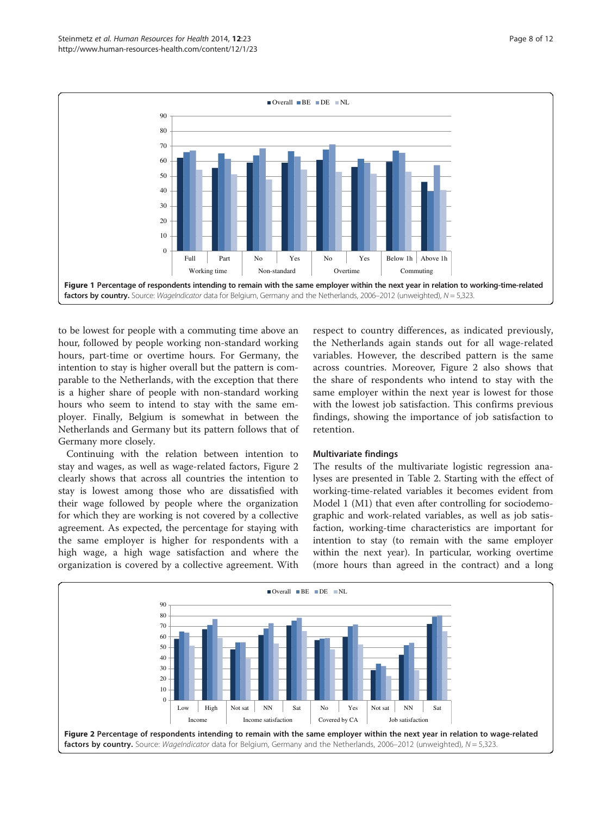<span id="page-8-0"></span>

to be lowest for people with a commuting time above an hour, followed by people working non-standard working hours, part-time or overtime hours. For Germany, the intention to stay is higher overall but the pattern is comparable to the Netherlands, with the exception that there is a higher share of people with non-standard working hours who seem to intend to stay with the same employer. Finally, Belgium is somewhat in between the Netherlands and Germany but its pattern follows that of Germany more closely.

Continuing with the relation between intention to stay and wages, as well as wage-related factors, Figure 2 clearly shows that across all countries the intention to stay is lowest among those who are dissatisfied with their wage followed by people where the organization for which they are working is not covered by a collective agreement. As expected, the percentage for staying with the same employer is higher for respondents with a high wage, a high wage satisfaction and where the organization is covered by a collective agreement. With

respect to country differences, as indicated previously, the Netherlands again stands out for all wage-related variables. However, the described pattern is the same across countries. Moreover, Figure 2 also shows that the share of respondents who intend to stay with the same employer within the next year is lowest for those with the lowest job satisfaction. This confirms previous findings, showing the importance of job satisfaction to retention.

#### Multivariate findings

The results of the multivariate logistic regression analyses are presented in Table [2](#page-9-0). Starting with the effect of working-time-related variables it becomes evident from Model 1 (M1) that even after controlling for sociodemographic and work-related variables, as well as job satisfaction, working-time characteristics are important for intention to stay (to remain with the same employer within the next year). In particular, working overtime (more hours than agreed in the contract) and a long

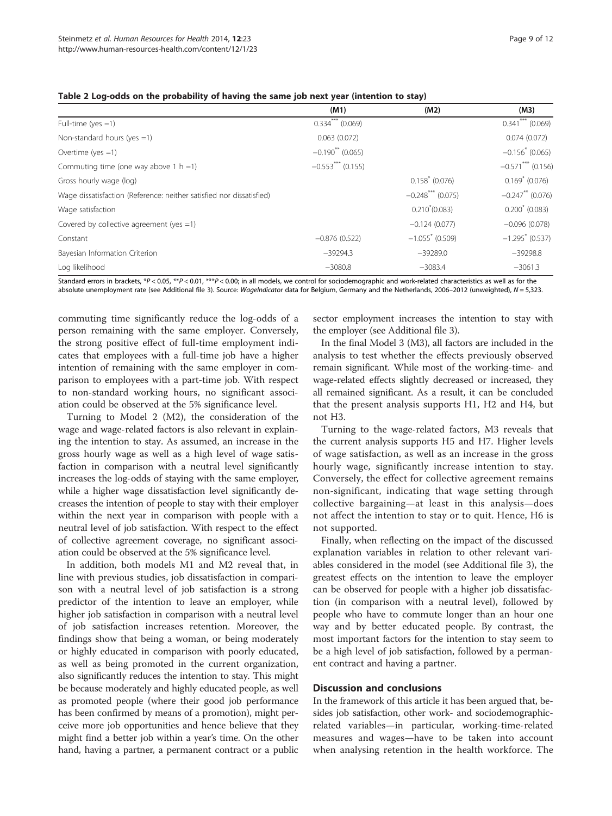<span id="page-9-0"></span>

|                                                                      | (M1)                           | (M2)                            | (M3)                           |
|----------------------------------------------------------------------|--------------------------------|---------------------------------|--------------------------------|
| Full-time (yes $=1$ )                                                | $0.334$ <sup>***</sup> (0.069) |                                 | $0.341***$ (0.069)             |
| Non-standard hours (yes $=1$ )                                       | 0.063(0.072)                   |                                 | 0.074(0.072)                   |
| Overtime (yes $=1$ )                                                 | $-0.190^{**}$ (0.065)          |                                 | $-0.156$ (0.065)               |
| Commuting time (one way above 1 h =1)                                | $-0.553***$ (0.155)            |                                 | $-0.571$ (0.156)               |
| Gross hourly wage (log)                                              |                                | $0.158^*$ (0.076)               | $0.169^*$ (0.076)              |
| Wage dissatisfaction (Reference: neither satisfied nor dissatisfied) |                                | $-0.248$ <sup>***</sup> (0.075) | $-0.247$ <sup>**</sup> (0.076) |
| Wage satisfaction                                                    |                                | 0.210(0.083)                    | $0.200^*$ (0.083)              |
| Covered by collective agreement (yes $=1$ )                          |                                | $-0.124(0.077)$                 | $-0.096(0.078)$                |
| Constant                                                             | $-0.876(0.522)$                | $-1.055$ <sup>*</sup> (0.509)   | $-1.295$ (0.537)               |
| Bayesian Information Criterion                                       | $-39294.3$                     | $-39289.0$                      | $-39298.8$                     |
| Log likelihood                                                       | $-3080.8$                      | $-3083.4$                       | $-3061.3$                      |

Standard errors in brackets, \*P < 0.05, \*\*P < 0.01, \*\*\*P < 0.00; in all models, we control for sociodemographic and work-related characteristics as well as for the absolute unemployment rate (see Additional file [3](#page-10-0)). Source: WageIndicator data for Belgium, Germany and the Netherlands, 2006-2012 (unweighted), N = 5,323.

commuting time significantly reduce the log-odds of a person remaining with the same employer. Conversely, the strong positive effect of full-time employment indicates that employees with a full-time job have a higher intention of remaining with the same employer in comparison to employees with a part-time job. With respect to non-standard working hours, no significant association could be observed at the 5% significance level.

Turning to Model 2 (M2), the consideration of the wage and wage-related factors is also relevant in explaining the intention to stay. As assumed, an increase in the gross hourly wage as well as a high level of wage satisfaction in comparison with a neutral level significantly increases the log-odds of staying with the same employer, while a higher wage dissatisfaction level significantly decreases the intention of people to stay with their employer within the next year in comparison with people with a neutral level of job satisfaction. With respect to the effect of collective agreement coverage, no significant association could be observed at the 5% significance level.

In addition, both models M1 and M2 reveal that, in line with previous studies, job dissatisfaction in comparison with a neutral level of job satisfaction is a strong predictor of the intention to leave an employer, while higher job satisfaction in comparison with a neutral level of job satisfaction increases retention. Moreover, the findings show that being a woman, or being moderately or highly educated in comparison with poorly educated, as well as being promoted in the current organization, also significantly reduces the intention to stay. This might be because moderately and highly educated people, as well as promoted people (where their good job performance has been confirmed by means of a promotion), might perceive more job opportunities and hence believe that they might find a better job within a year's time. On the other hand, having a partner, a permanent contract or a public sector employment increases the intention to stay with the employer (see Additional file [3](#page-10-0)).

In the final Model 3 (M3), all factors are included in the analysis to test whether the effects previously observed remain significant. While most of the working-time- and wage-related effects slightly decreased or increased, they all remained significant. As a result, it can be concluded that the present analysis supports H1, H2 and H4, but not H3.

Turning to the wage-related factors, M3 reveals that the current analysis supports H5 and H7. Higher levels of wage satisfaction, as well as an increase in the gross hourly wage, significantly increase intention to stay. Conversely, the effect for collective agreement remains non-significant, indicating that wage setting through collective bargaining—at least in this analysis—does not affect the intention to stay or to quit. Hence, H6 is not supported.

Finally, when reflecting on the impact of the discussed explanation variables in relation to other relevant variables considered in the model (see Additional file [3](#page-10-0)), the greatest effects on the intention to leave the employer can be observed for people with a higher job dissatisfaction (in comparison with a neutral level), followed by people who have to commute longer than an hour one way and by better educated people. By contrast, the most important factors for the intention to stay seem to be a high level of job satisfaction, followed by a permanent contract and having a partner.

#### Discussion and conclusions

In the framework of this article it has been argued that, besides job satisfaction, other work- and sociodemographicrelated variables—in particular, working-time-related measures and wages—have to be taken into account when analysing retention in the health workforce. The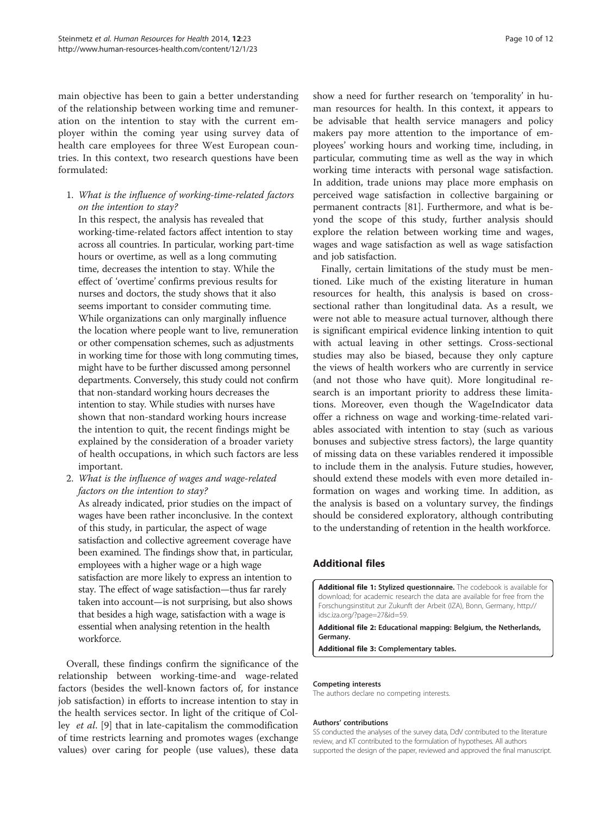<span id="page-10-0"></span>main objective has been to gain a better understanding of the relationship between working time and remuneration on the intention to stay with the current employer within the coming year using survey data of health care employees for three West European countries. In this context, two research questions have been formulated:

1. What is the influence of working-time-related factors on the intention to stay?

In this respect, the analysis has revealed that working-time-related factors affect intention to stay across all countries. In particular, working part-time hours or overtime, as well as a long commuting time, decreases the intention to stay. While the effect of 'overtime' confirms previous results for nurses and doctors, the study shows that it also seems important to consider commuting time. While organizations can only marginally influence the location where people want to live, remuneration or other compensation schemes, such as adjustments in working time for those with long commuting times, might have to be further discussed among personnel departments. Conversely, this study could not confirm that non-standard working hours decreases the intention to stay. While studies with nurses have shown that non-standard working hours increase the intention to quit, the recent findings might be explained by the consideration of a broader variety of health occupations, in which such factors are less important.

2. What is the influence of wages and wage-related factors on the intention to stay?

As already indicated, prior studies on the impact of wages have been rather inconclusive. In the context of this study, in particular, the aspect of wage satisfaction and collective agreement coverage have been examined. The findings show that, in particular, employees with a higher wage or a high wage satisfaction are more likely to express an intention to stay. The effect of wage satisfaction—thus far rarely taken into account—is not surprising, but also shows that besides a high wage, satisfaction with a wage is essential when analysing retention in the health workforce.

Overall, these findings confirm the significance of the relationship between working-time-and wage-related factors (besides the well-known factors of, for instance job satisfaction) in efforts to increase intention to stay in the health services sector. In light of the critique of Colley et al. [\[9](#page-11-0)] that in late-capitalism the commodification of time restricts learning and promotes wages (exchange values) over caring for people (use values), these data

show a need for further research on 'temporality' in human resources for health. In this context, it appears to be advisable that health service managers and policy makers pay more attention to the importance of employees' working hours and working time, including, in particular, commuting time as well as the way in which working time interacts with personal wage satisfaction. In addition, trade unions may place more emphasis on perceived wage satisfaction in collective bargaining or permanent contracts [[81\]](#page-12-0). Furthermore, and what is beyond the scope of this study, further analysis should explore the relation between working time and wages, wages and wage satisfaction as well as wage satisfaction and job satisfaction.

Finally, certain limitations of the study must be mentioned. Like much of the existing literature in human resources for health, this analysis is based on crosssectional rather than longitudinal data. As a result, we were not able to measure actual turnover, although there is significant empirical evidence linking intention to quit with actual leaving in other settings. Cross-sectional studies may also be biased, because they only capture the views of health workers who are currently in service (and not those who have quit). More longitudinal research is an important priority to address these limitations. Moreover, even though the WageIndicator data offer a richness on wage and working-time-related variables associated with intention to stay (such as various bonuses and subjective stress factors), the large quantity of missing data on these variables rendered it impossible to include them in the analysis. Future studies, however, should extend these models with even more detailed information on wages and working time. In addition, as the analysis is based on a voluntary survey, the findings should be considered exploratory, although contributing to the understanding of retention in the health workforce.

#### Additional files

[Additional file 1:](http://www.biomedcentral.com/content/supplementary/1478-4491-12-23-S1.pdf) Stylized questionnaire. The codebook is available for download; for academic research the data are available for free from the Forschungsinstitut zur Zukunft der Arbeit (IZA), Bonn, Germany, [http://](http://idsc.iza.org/?page=27&id=59) [idsc.iza.org/?page=27&id=59.](http://idsc.iza.org/?page=27&id=59)

[Additional file 2:](http://www.biomedcentral.com/content/supplementary/1478-4491-12-23-S2.xlsx) Educational mapping: Belgium, the Netherlands, Germany.

[Additional file 3:](http://www.biomedcentral.com/content/supplementary/1478-4491-12-23-S3.docx) Complementary tables.

#### Competing interests

The authors declare no competing interests.

#### Authors' contributions

SS conducted the analyses of the survey data, DdV contributed to the literature review, and KT contributed to the formulation of hypotheses. All authors supported the design of the paper, reviewed and approved the final manuscript.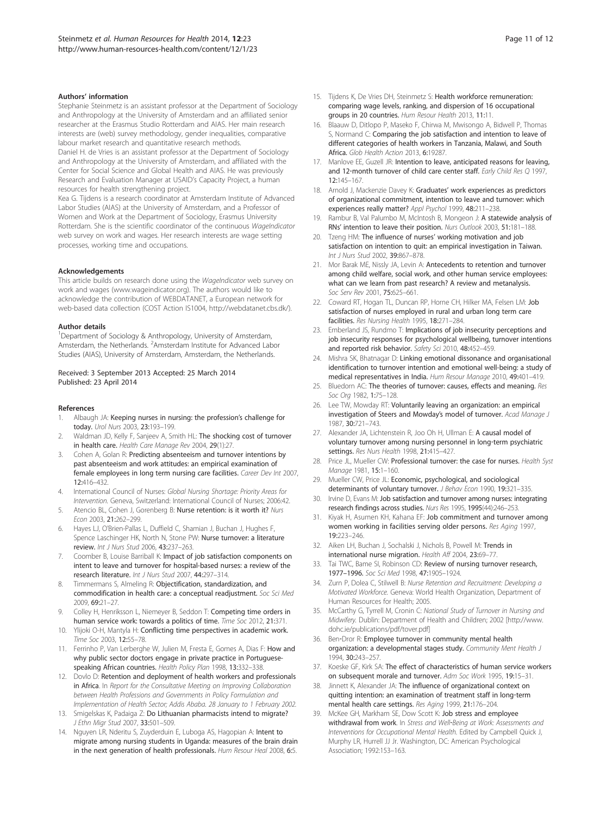#### <span id="page-11-0"></span>Authors' information

Stephanie Steinmetz is an assistant professor at the Department of Sociology and Anthropology at the University of Amsterdam and an affiliated senior researcher at the Erasmus Studio Rotterdam and AIAS. Her main research interests are (web) survey methodology, gender inequalities, comparative labour market research and quantitative research methods.

Daniel H. de Vries is an assistant professor at the Department of Sociology and Anthropology at the University of Amsterdam, and affiliated with the Center for Social Science and Global Health and AIAS. He was previously Research and Evaluation Manager at USAID's Capacity Project, a human resources for health strengthening project.

Kea G. Tijdens is a research coordinator at Amsterdam Institute of Advanced Labor Studies (AIAS) at the University of Amsterdam, and a Professor of Women and Work at the Department of Sociology, Erasmus University Rotterdam. She is the scientific coordinator of the continuous WageIndicator web survey on work and wages. Her research interests are wage setting processes, working time and occupations.

#### Acknowledgements

This article builds on research done using the WageIndicator web survey on work and wages ([www.wageindicator.org](http://www.wageindicator.org)). The authors would like to acknowledge the contribution of WEBDATANET, a European network for web-based data collection (COST Action IS1004, [http://webdatanet.cbs.dk/\)](http://webdatanet.cbs.dk/).

#### Author details

<sup>1</sup>Department of Sociology & Anthropology, University of Amsterdam, Amsterdam, the Netherlands. <sup>2</sup> Amsterdam Institute for Advanced Labor Studies (AIAS), University of Amsterdam, Amsterdam, the Netherlands.

#### Received: 3 September 2013 Accepted: 25 March 2014 Published: 23 April 2014

#### References

- 1. Albaugh JA: Keeping nurses in nursing: the profession's challenge for today. Urol Nurs 2003, 23:193–199.
- 2. Waldman JD, Kelly F, Sanjeev A, Smith HL: The shocking cost of turnover in health care. Health Care Manage Rev 2004, 29(1):27
- Cohen A, Golan R: Predicting absenteeism and turnover intentions by past absenteeism and work attitudes: an empirical examination of female employees in long term nursing care facilities. Career Dev Int 2007, 12:416–432.
- 4. International Council of Nurses: Global Nursing Shortage: Priority Areas for Intervention. Geneva, Switzerland: International Council of Nurses; 2006:42.
- 5. Atencio BL, Cohen J, Gorenberg B: Nurse retention: is it worth it? Nurs Econ 2003, 21:262–299.
- 6. Hayes LJ, O'Brien-Pallas L, Duffield C, Shamian J, Buchan J, Hughes F, Spence Laschinger HK, North N, Stone PW: Nurse turnover: a literature review. Int J Nurs Stud 2006, 43:237–263.
- 7. Coomber B, Louise Barriball K: Impact of job satisfaction components on intent to leave and turnover for hospital-based nurses: a review of the research literature. Int J Nurs Stud 2007, 44:297–314.
- 8. Timmermans S, Almeling R: Objectification, standardization, and commodification in health care: a conceptual readjustment. Soc Sci Med 2009, 69:21–27.
- 9. Colley H, Henriksson L, Niemeyer B, Seddon T: Competing time orders in human service work: towards a politics of time. Time Soc 2012, 21:371.
- 10. Ylijoki O-H, Mantyla H: Conflicting time perspectives in academic work. Time Soc 2003, 12:55–78.
- 11. Ferrinho P, Van Lerberghe W, Julien M, Fresta E, Gomes A, Dias F: How and why public sector doctors engage in private practice in Portuguesespeaking African countries. Health Policy Plan 1998, 13:332–338.
- 12. Dovlo D: Retention and deployment of health workers and professionals in Africa. In Report for the Consultative Meeting on Improving Collaboration between Health Professions and Governments in Policy Formulation and Implementation of Health Sector; Addis Ababa. 28 January to 1 February 2002.
- 13. Smigelskas K, Padaiga Z: Do Lithuanian pharmacists intend to migrate? J Ethn Migr Stud 2007, 33:501–509.
- 14. Nguyen LR, Nderitu S, Zuyderduin E, Luboga AS, Hagopian A: Intent to migrate among nursing students in Uganda: measures of the brain drain in the next generation of health professionals. Hum Resour Heal 2008, 6:5.
- 15. Tijdens K, De Vries DH, Steinmetz S: Health workforce remuneration: comparing wage levels, ranking, and dispersion of 16 occupational groups in 20 countries. Hum Resour Health 2013, 11:11.
- 16. Blaauw D, Ditlopo P, Maseko F, Chirwa M, Mwisongo A, Bidwell P, Thomas S, Normand C: Comparing the job satisfaction and intention to leave of different categories of health workers in Tanzania, Malawi, and South Africa. Glob Health Action 2013, 6:19287.
- 17. Manlove EE, Guzell JR: Intention to leave, anticipated reasons for leaving, and 12-month turnover of child care center staff. Early Child Res Q 1997, 12:145–167.
- 18. Arnold J, Mackenzie Davey K: Graduates' work experiences as predictors of organizational commitment, intention to leave and turnover: which experiences really matter? Appl Psychol 1999, 48:211–238.
- 19. Rambur B, Val Palumbo M, McIntosh B, Mongeon J: A statewide analysis of RNs' intention to leave their position. Nurs Outlook 2003, 51:181–188.
- 20. Tzeng HM: The influence of nurses' working motivation and job satisfaction on intention to quit: an empirical investigation in Taiwan. Int J Nurs Stud 2002, 39:867-878.
- 21. Mor Barak ME, Nissly JA, Levin A: Antecedents to retention and turnover among child welfare, social work, and other human service employees: what can we learn from past research? A review and metanalysis. Soc Serv Rev 2001, 75:625-661.
- 22. Coward RT, Hogan TL, Duncan RP, Horne CH, Hilker MA, Felsen LM: Job satisfaction of nurses employed in rural and urban long term care facilities. Res Nursing Health 1995, 18:271–284.
- 23. Emberland JS, Rundmo T: Implications of job insecurity perceptions and job insecurity responses for psychological wellbeing, turnover intentions and reported risk behavior. Safety Sci 2010, 48:452–459.
- 24. Mishra SK, Bhatnagar D: Linking emotional dissonance and organisational identification to turnover intention and emotional well-being: a study of medical representatives in India. Hum Resour Manage 2010, 49:401–419.
- 25. Bluedorn AC: The theories of turnover: causes, effects and meaning. Res Soc Org 1982, 1:75–128.
- 26. Lee TW, Mowday RT: Voluntarily leaving an organization: an empirical investigation of Steers and Mowday's model of turnover. Acad Manage J 1987, 30:721–743.
- 27. Alexander JA, Lichtenstein R, Joo Oh H, Ullman E: A causal model of voluntary turnover among nursing personnel in long‐term psychiatric settings. Res Nurs Health 1998, 21:415-427.
- 28. Price JL, Mueller CW: Professional turnover: the case for nurses. Health Syst Manage 1981, 15:1–160.
- 29. Mueller CW, Price JL: Economic, psychological, and sociological determinants of voluntary turnover. J Behav Econ 1990, 19:321-335.
- 30. Irvine D, Evans M: Job satisfaction and turnover among nurses: integrating research findings across studies. Nurs Res 1995, 1995(44):246–253.
- 31. Kiyak H, Asumen KH, Kahana EF: Job commitment and turnover among women working in facilities serving older persons. Res Aging 1997, 19:223–246.
- 32. Aiken LH, Buchan J, Sochalski J, Nichols B, Powell M: Trends in international nurse migration. Health Aff 2004, 23:69–77.
- 33. Tai TWC, Bame SI, Robinson CD: Review of nursing turnover research, 1977–1996. Soc Sci Med 1998, 47:1905–1924.
- 34. Zurn P, Dolea C, Stilwell B: Nurse Retention and Recruitment: Developing a Motivated Workforce. Geneva: World Health Organization, Department of Human Resources for Health; 2005.
- 35. McCarthy G, Tyrrell M, Cronin C: National Study of Turnover in Nursing and Midwifery. Dublin: Department of Health and Children; 2002 [\[http://www.](http://www.dohc.ie/publications/pdf/tover.pdf) [dohc.ie/publications/pdf/tover.pdf](http://www.dohc.ie/publications/pdf/tover.pdf)]
- 36. Ben‐Dror R: Employee turnover in community mental health organization: a developmental stages study. Community Ment Health J 1994, 30:243–257.
- 37. Koeske GF, Kirk SA: The effect of characteristics of human service workers on subsequent morale and turnover. Adm Soc Work 1995, 19:15–31.
- Jinnett K, Alexander JA: The influence of organizational context on quitting intention: an examination of treatment staff in long‐term mental health care settings. Res Aging 1999, 21:176–204.
- 39. McKee GH, Markham SE, Dow Scott K: Job stress and employee withdrawal from work. In Stress and Well-Being at Work: Assessments and Interventions for Occupational Mental Health. Edited by Campbell Quick J, Murphy LR, Hurrell JJ Jr. Washington, DC: American Psychological Association; 1992:153–163.